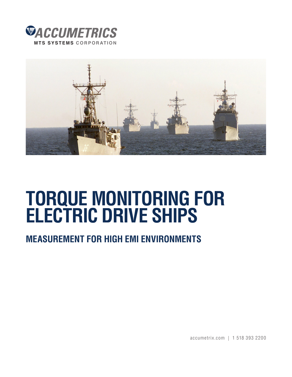



# **TORQUE MONITORING FOR ELECTRIC DRIVE SHIPS**

# **MEASUREMENT FOR HIGH EMI ENVIRONMENTS**

accumetrix.com | 1 518 393 2200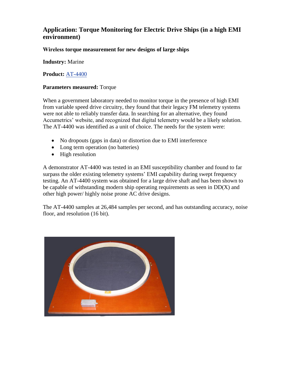## **Application: Torque Monitoring for Electric Drive Ships (in a high EMI environment)**

### **Wireless torque measurement for new designs of large ships**

**Industry:** Marine

**Product:** [AT-4400](http://www.accumetrix.com/SingleChannelTelemetry/AT4400) 

#### **Parameters measured:** Torque

When a government laboratory needed to monitor torque in the presence of high EMI from variable speed drive circuitry, they found that their legacy FM telemetry systems were not able to reliably transfer data. In searching for an alternative, they found Accumetrics' website, and recognized that digital telemetry would be a likely solution. The AT-4400 was identified as a unit of choice. The needs for the system were:

- No dropouts (gaps in data) or distortion due to EMI interference
- Long term operation (no batteries)
- High resolution

A demonstrator AT-4400 was tested in an EMI susceptibility chamber and found to far surpass the older existing telemetry systems' EMI capability during swept frequency testing. An AT-4400 system was obtained for a large drive shaft and has been shown to be capable of withstanding modern ship operating requirements as seen in DD(X) and other high power/ highly noise prone AC drive designs.

The AT-4400 samples at 26,484 samples per second, and has outstanding accuracy, noise floor, and resolution (16 bit).

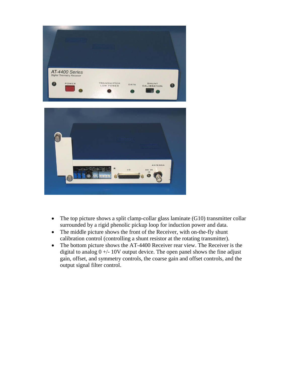

- The top picture shows a split clamp-collar glass laminate (G10) transmitter collar surrounded by a rigid phenolic pickup loop for induction power and data.
- The middle picture shows the front of the Receiver, with on-the-fly shunt calibration control (controlling a shunt resistor at the rotating transmitter).
- The bottom picture shows the AT-4400 Receiver rear view. The Receiver is the digital to analog  $0 +/- 10V$  output device. The open panel shows the fine adjust gain, offset, and symmetry controls, the coarse gain and offset controls, and the output signal filter control.